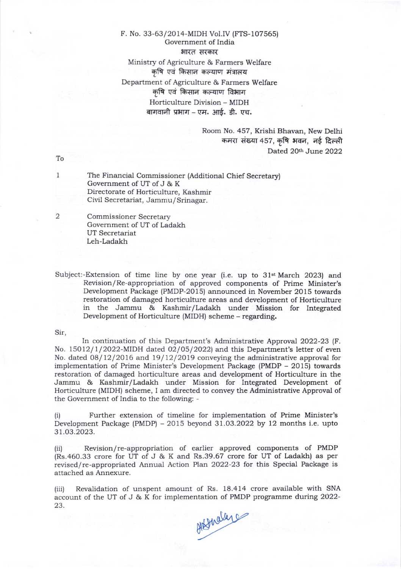## F. No. 33-63/2014-MIDH Vol.IV (FTS-107565) Government of India भारत सरकार Ministry of Agriculture & Farmers Welfare कृषि एवं किसान कल्याण मंत्रालय Department of Agriculture & Farmers Welfare कृषि एवं किसान कल्याण विभाग Horticulture Division - MIDH बागवानी प्रभाग – एम. आई. डी. एच.

Room No. 457, Krishi Bhavan, New Delhi कमरा संख्या 457, कृषि भवन, नई दिल्ली Dated 20th June 2022

To

1

2

The Financial Commissioner (Additional Chief Secretary) Government of UT of J & K Directorate of Horticulture, Kashmir Civil Secretariat, Jammu/ Srinagar.

Commissioner Secretary Government of UT of Ladakh UT Secretariat Leh-Ladakh

Subject:-Extension of time line by one year (i.e. up to  $31$ <sup>st</sup> March 2023) and Revision/ Re-appropriation of approved components of Prime Minister's Development Package (PMDP-2015) announced in November 2015 towards restoration of damaged horticulture areas and development of Horticulture in the Jammu & Kashmir/Ladakh under Mission for Integrated Development of Horticulture (MIDH) scheme - regarding.

Sir,

In continuation of this Department's Administrative Approval 2022-23 (F. No. 15012/1/2022-MIDH dated 02/05/2022) and this Department's letter of even No. dated  $08/12/2016$  and  $19/12/2019$  conveying the administrative approval for implementation of Prime Minister's Development Package (PMDP - 2015) towards restoration of damaged horticulture areas and development of Horticulture in the Jammu & Kashmir/Ladakh under Mission for Integrated Development of Horticulture (MIDH) scheme, I am directed to convey the Administrative Approval of the Government of India to the following: -

(i) Further extension of timeline for implementation of Prime Minister's Development Package (PMDP) - 2015 beyond 3l.O3.2O22 by 12 months i.e. upto 3t.o3.2023.

(iil Revision/ re-appropriation of earlier approved components of PMDP (Rs.460.33 crore for UT of J & K and Rs.39.67 crore for UT of ladakh) as per revised/ re-appropriated Annual Action Plan 2022-23 for this Special Package is attached as Annexure.

{iii) Revalidation of unspent amount of Rs. 18.414 crore available with SNA account of the UT of J & K for implementation of PMDP programme during 2022-23. 23.